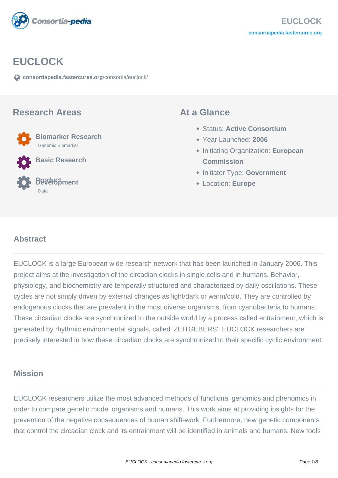

# **EUCLOCK**

**[consortiapedia.fastercures.org](https://consortiapedia.fastercures.org/consortia/euclock/)**[/consortia/euclock/](https://consortiapedia.fastercures.org/consortia/euclock/)

#### **Research Areas**

 **Biomarker Research** Genomic Biomarker

**Basic Research**

#### **Product Development** Data

### **At a Glance**

- Status: **Active Consortium**
- Year Launched: **2006**
- **Initiating Organization: European Commission**
- **Initiator Type: Government**
- Location: **Europe**

#### $\overline{a}$ **Abstract**

EUCLOCK is a large European wide research network that has been launched in January 2006. This project aims at the investigation of the circadian clocks in single cells and in humans. Behavior, physiology, and biochemistry are temporally structured and characterized by daily oscillations. These cycles are not simply driven by external changes as light/dark or warm/cold. They are controlled by endogenous clocks that are prevalent in the most diverse organisms, from cyanobacteria to humans. These circadian clocks are synchronized to the outside world by a process called entrainment, which is generated by rhythmic environmental signals, called 'ZEITGEBERS'. EUCLOCK researchers are precisely interested in how these circadian clocks are synchronized to their specific cyclic environment.

## **Mission**

EUCLOCK researchers utilize the most advanced methods of functional genomics and phenomics in order to compare genetic model organisms and humans. This work aims at providing insights for the prevention of the negative consequences of human shift-work. Furthermore, new genetic components that control the circadian clock and its entrainment will be identified in animals and humans. New tools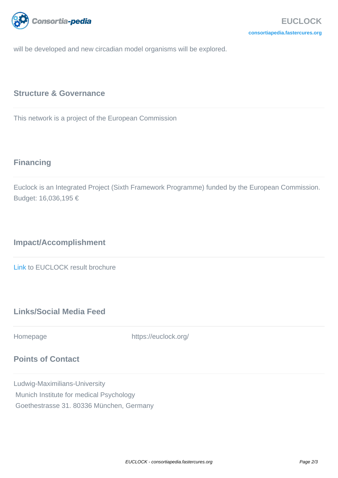

will be developed and new circadian model organisms will be explored.

## **Structure & Governance**

This network is a project of the European Commission

# **Financing**

Euclock is an Integrated Project (Sixth Framework Programme) funded by the European Commission. Budget: 16,036,195 €

# **Impact/Accomplishment**

[Link](https://euclock.org/results/item/euclock-result-broschure.html) to EUCLOCK result brochure

# **Links/Social Media Feed**

Homepage https://euclock.org/

## **Points of Contact**

Ludwig-Maximilians-University Munich Institute for medical Psychology Goethestrasse 31. 80336 München, Germany